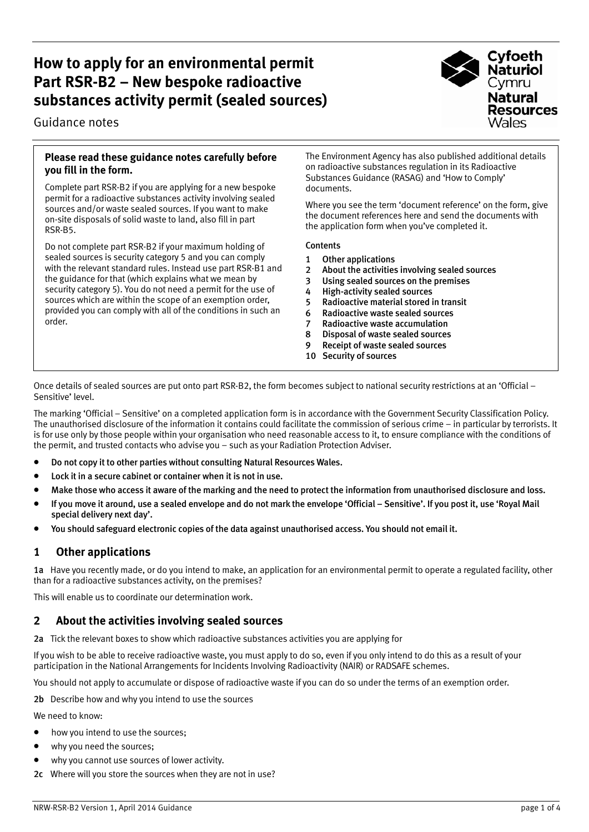# **How to apply for an environmental permit Part RSR-B2 – New bespoke radioactive substances activity permit (sealed sources)**

Guidance notes



### **Please read these guidance notes carefully before you fill in the form.**

Complete part RSR-B2 if you are applying for a new bespoke permit for a radioactive substances activity involving sealed sources and/or waste sealed sources. If you want to make on-site disposals of solid waste to land, also fill in part RSR-B5.

Do not complete part RSR-B2 if your maximum holding of sealed sources is security category 5 and you can comply with the relevant standard rules. Instead use part RSR-B1 and the guidance for that (which explains what we mean by security category 5). You do not need a permit for the use of sources which are within the scope of an exemption order, provided you can comply with all of the conditions in such an order.

The Environment Agency has also published additional details on radioactive substances regulation in its Radioactive Substances Guidance (RASAG) and 'How to Comply' documents.

Where you see the term 'document reference' on the form, give the document references here and send the documents with the application form when you've completed it.

#### **Contents**

- 1 Other applications
- 2 About the activities involving sealed sources
- 3 Using sealed sources on the premises
- 4 High-activity sealed sources
- 5 Radioactive material stored in transit
- 6 Radioactive waste sealed sources
- 7 Radioactive waste accumulation
- 8 Disposal of waste sealed sources
- 9 Receipt of waste sealed sources
- 10 Security of sources

Once details of sealed sources are put onto part RSR-B2, the form becomes subject to national security restrictions at an 'Official – Sensitive' level.

The marking 'Official – Sensitive' on a completed application form is in accordance with the Government Security Classification Policy. The unauthorised disclosure of the information it contains could facilitate the commission of serious crime – in particular by terrorists. It is for use only by those people within your organisation who need reasonable access to it, to ensure compliance with the conditions of the permit, and trusted contacts who advise you – such as your Radiation Protection Adviser.

- Do not copy it to other parties without consulting Natural Resources Wales.
- Lock it in a secure cabinet or container when it is not in use.
- Make those who access it aware of the marking and the need to protect the information from unauthorised disclosure and loss.
- If you move it around, use a sealed envelope and do not mark the envelope 'Official Sensitive'. If you post it, use 'Royal Mail special delivery next day'.
- You should safeguard electronic copies of the data against unauthorised access. You should not email it.

# **1 Other applications**

1a Have you recently made, or do you intend to make, an application for an environmental permit to operate a regulated facility, other than for a radioactive substances activity, on the premises?

This will enable us to coordinate our determination work.

### **2 About the activities involving sealed sources**

2a Tick the relevant boxes to show which radioactive substances activities you are applying for

If you wish to be able to receive radioactive waste, you must apply to do so, even if you only intend to do this as a result of your participation in the National Arrangements for Incidents Involving Radioactivity (NAIR) or RADSAFE schemes.

You should not apply to accumulate or dispose of radioactive waste if you can do so under the terms of an exemption order.

2b Describe how and why you intend to use the sources

We need to know:

- how you intend to use the sources:
- why you need the sources:
- why you cannot use sources of lower activity.
- 2c Where will you store the sources when they are not in use?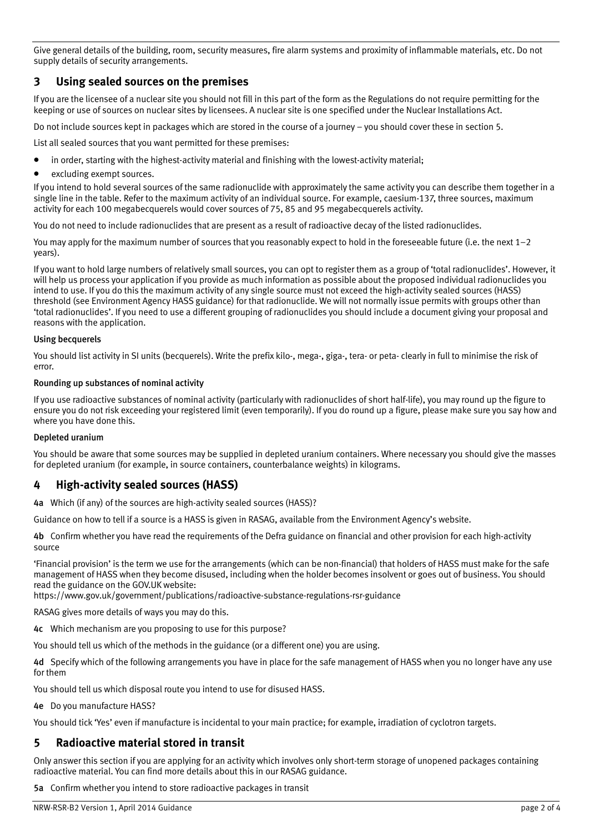Give general details of the building, room, security measures, fire alarm systems and proximity of inflammable materials, etc. Do not supply details of security arrangements.

# **3 Using sealed sources on the premises**

If you are the licensee of a nuclear site you should not fill in this part of the form as the Regulations do not require permitting for the keeping or use of sources on nuclear sites by licensees. A nuclear site is one specified under the Nuclear Installations Act.

Do not include sources kept in packages which are stored in the course of a journey – you should cover these in section 5.

List all sealed sources that you want permitted for these premises:

- in order, starting with the highest-activity material and finishing with the lowest-activity material;
- excluding exempt sources.

If you intend to hold several sources of the same radionuclide with approximately the same activity you can describe them together in a single line in the table. Refer to the maximum activity of an individual source. For example, caesium-137, three sources, maximum activity for each 100 megabecquerels would cover sources of 75, 85 and 95 megabecquerels activity.

You do not need to include radionuclides that are present as a result of radioactive decay of the listed radionuclides.

You may apply for the maximum number of sources that you reasonably expect to hold in the foreseeable future (i.e. the next 1–2 years).

If you want to hold large numbers of relatively small sources, you can opt to register them as a group of 'total radionuclides'. However, it will help us process your application if you provide as much information as possible about the proposed individual radionuclides you intend to use. If you do this the maximum activity of any single source must not exceed the high-activity sealed sources (HASS) threshold (see Environment Agency HASS guidance) for that radionuclide. We will not normally issue permits with groups other than 'total radionuclides'. If you need to use a different grouping of radionuclides you should include a document giving your proposal and reasons with the application.

#### Using becquerels

You should list activity in SI units (becquerels). Write the prefix kilo-, mega-, giga-, tera- or peta- clearly in full to minimise the risk of error.

#### Rounding up substances of nominal activity

If you use radioactive substances of nominal activity (particularly with radionuclides of short half-life), you may round up the figure to ensure you do not risk exceeding your registered limit (even temporarily). If you do round up a figure, please make sure you say how and where you have done this.

#### Depleted uranium

You should be aware that some sources may be supplied in depleted uranium containers. Where necessary you should give the masses for depleted uranium (for example, in source containers, counterbalance weights) in kilograms.

# **4 High-activity sealed sources (HASS)**

4a Which (if any) of the sources are high-activity sealed sources (HASS)?

Guidance on how to tell if a source is a HASS is given in RASAG, available from the Environment Agency's website.

4b Confirm whether you have read the requirements of the Defra guidance on financial and other provision for each high-activity source

'Financial provision' is the term we use for the arrangements (which can be non-financial) that holders of HASS must make for the safe management of HASS when they become disused, including when the holder becomes insolvent or goes out of business. You should read the guidance on the GOV.UK website:

https://www.gov.uk/government/publications/radioactive-substance-regulations-rsr-guidance

RASAG gives more details of ways you may do this.

4c Which mechanism are you proposing to use for this purpose?

You should tell us which of the methods in the guidance (or a different one) you are using.

4d Specify which of the following arrangements you have in place for the safe management of HASS when you no longer have any use for them

You should tell us which disposal route you intend to use for disused HASS.

4e Do you manufacture HASS?

You should tick 'Yes' even if manufacture is incidental to your main practice; for example, irradiation of cyclotron targets.

### **5 Radioactive material stored in transit**

Only answer this section if you are applying for an activity which involves only short-term storage of unopened packages containing radioactive material. You can find more details about this in our RASAG guidance.

5a Confirm whether you intend to store radioactive packages in transit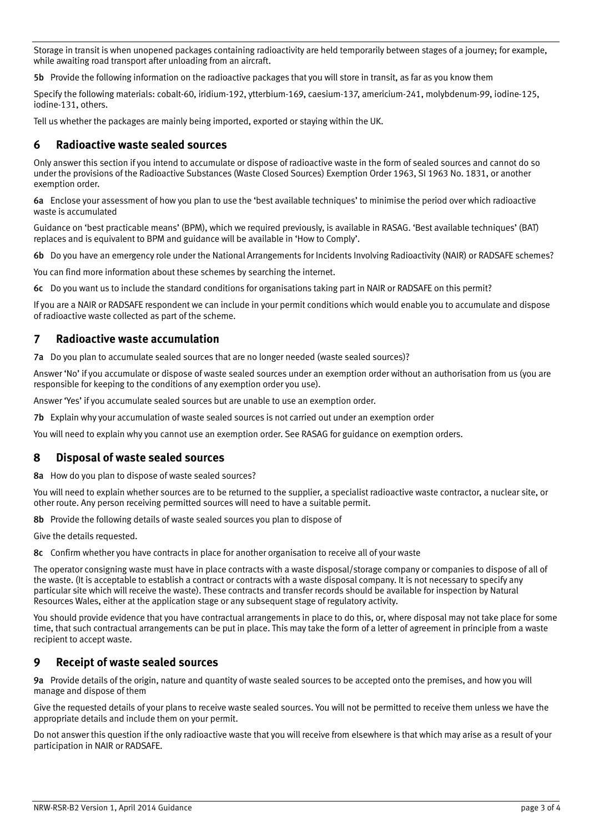Storage in transit is when unopened packages containing radioactivity are held temporarily between stages of a journey; for example, while awaiting road transport after unloading from an aircraft.

5b Provide the following information on the radioactive packages that you will store in transit, as far as you know them

Specify the following materials: cobalt-60, iridium-192, ytterbium-169, caesium-137, americium-241, molybdenum-99, iodine-125, iodine-131, others.

Tell us whether the packages are mainly being imported, exported or staying within the UK.

### **6 Radioactive waste sealed sources**

Only answer this section if you intend to accumulate or dispose of radioactive waste in the form of sealed sources and cannot do so under the provisions of the Radioactive Substances (Waste Closed Sources) Exemption Order 1963, SI 1963 No. 1831, or another exemption order.

6a Enclose your assessment of how you plan to use the 'best available techniques' to minimise the period over which radioactive waste is accumulated

Guidance on 'best practicable means' (BPM), which we required previously, is available in RASAG. 'Best available techniques' (BAT) replaces and is equivalent to BPM and guidance will be available in 'How to Comply'.

6b Do you have an emergency role under the National Arrangements for Incidents Involving Radioactivity (NAIR) or RADSAFE schemes?

You can find more information about these schemes by searching the internet.

6c Do you want us to include the standard conditions for organisations taking part in NAIR or RADSAFE on this permit?

If you are a NAIR or RADSAFE respondent we can include in your permit conditions which would enable you to accumulate and dispose of radioactive waste collected as part of the scheme.

## **7 Radioactive waste accumulation**

7a Do you plan to accumulate sealed sources that are no longer needed (waste sealed sources)?

Answer 'No' if you accumulate or dispose of waste sealed sources under an exemption order without an authorisation from us (you are responsible for keeping to the conditions of any exemption order you use).

Answer 'Yes' if you accumulate sealed sources but are unable to use an exemption order.

7b Explain why your accumulation of waste sealed sources is not carried out under an exemption order

You will need to explain why you cannot use an exemption order. See RASAG for guidance on exemption orders.

#### **8 Disposal of waste sealed sources**

8a How do you plan to dispose of waste sealed sources?

You will need to explain whether sources are to be returned to the supplier, a specialist radioactive waste contractor, a nuclear site, or other route. Any person receiving permitted sources will need to have a suitable permit.

8b Provide the following details of waste sealed sources you plan to dispose of

Give the details requested.

8c Confirm whether you have contracts in place for another organisation to receive all of your waste

The operator consigning waste must have in place contracts with a waste disposal/storage company or companies to dispose of all of the waste. (It is acceptable to establish a contract or contracts with a waste disposal company. It is not necessary to specify any particular site which will receive the waste). These contracts and transfer records should be available for inspection by Natural Resources Wales, either at the application stage or any subsequent stage of regulatory activity.

You should provide evidence that you have contractual arrangements in place to do this, or, where disposal may not take place for some time, that such contractual arrangements can be put in place. This may take the form of a letter of agreement in principle from a waste recipient to accept waste.

### **9 Receipt of waste sealed sources**

9a Provide details of the origin, nature and quantity of waste sealed sources to be accepted onto the premises, and how you will manage and dispose of them

Give the requested details of your plans to receive waste sealed sources. You will not be permitted to receive them unless we have the appropriate details and include them on your permit.

Do not answer this question if the only radioactive waste that you will receive from elsewhere is that which may arise as a result of your participation in NAIR or RADSAFE.